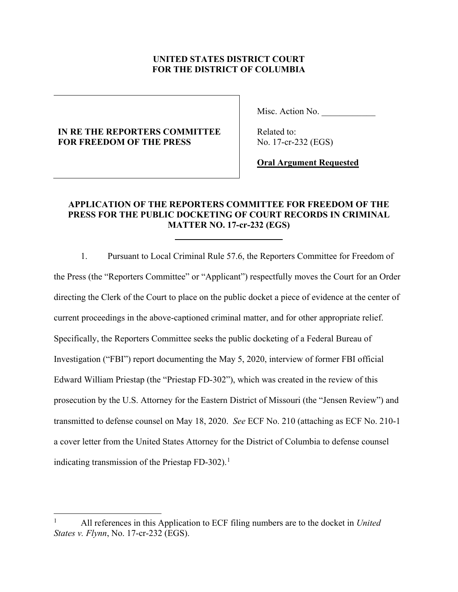## **UNITED STATES DISTRICT COURT FOR THE DISTRICT OF COLUMBIA**

# **IN RE THE REPORTERS COMMITTEE FOR FREEDOM OF THE PRESS**

 $\overline{a}$ 

Misc. Action No.

 Related to: No. 17-cr-232 (EGS)

**Oral Argument Requested**

## **APPLICATION OF THE REPORTERS COMMITTEE FOR FREEDOM OF THE PRESS FOR THE PUBLIC DOCKETING OF COURT RECORDS IN CRIMINAL MATTER NO. 17-cr-232 (EGS)**

1. Pursuant to Local Criminal Rule 57.6, the Reporters Committee for Freedom of the Press (the "Reporters Committee" or "Applicant") respectfully moves the Court for an Order directing the Clerk of the Court to place on the public docket a piece of evidence at the center of current proceedings in the above-captioned criminal matter, and for other appropriate relief. Specifically, the Reporters Committee seeks the public docketing of a Federal Bureau of Investigation ("FBI") report documenting the May 5, 2020, interview of former FBI official Edward William Priestap (the "Priestap FD-302"), which was created in the review of this prosecution by the U.S. Attorney for the Eastern District of Missouri (the "Jensen Review") and transmitted to defense counsel on May 18, 2020. *See* ECF No. 210 (attaching as ECF No. 210-1 a cover letter from the United States Attorney for the District of Columbia to defense counsel indicating transmission of the Priestap FD-302).<sup>[1](#page-0-0)</sup>

<span id="page-0-0"></span><sup>1</sup> All references in this Application to ECF filing numbers are to the docket in *United States v. Flynn*, No. 17-cr-232 (EGS).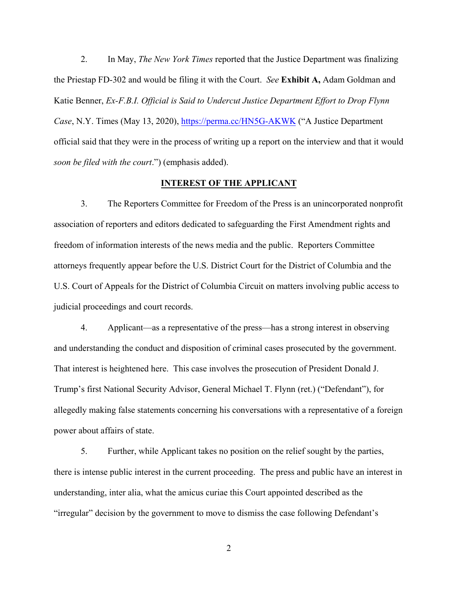2. In May, *The New York Times* reported that the Justice Department was finalizing the Priestap FD-302 and would be filing it with the Court. *See* **Exhibit A,** Adam Goldman and Katie Benner, *Ex-F.B.I. Official is Said to Undercut Justice Department Effort to Drop Flynn Case*, N.Y. Times (May 13, 2020),<https://perma.cc/HN5G-AKWK> ("A Justice Department official said that they were in the process of writing up a report on the interview and that it would *soon be filed with the court*.") (emphasis added).

#### **INTEREST OF THE APPLICANT**

3. The Reporters Committee for Freedom of the Press is an unincorporated nonprofit association of reporters and editors dedicated to safeguarding the First Amendment rights and freedom of information interests of the news media and the public. Reporters Committee attorneys frequently appear before the U.S. District Court for the District of Columbia and the U.S. Court of Appeals for the District of Columbia Circuit on matters involving public access to judicial proceedings and court records.

4. Applicant—as a representative of the press—has a strong interest in observing and understanding the conduct and disposition of criminal cases prosecuted by the government. That interest is heightened here. This case involves the prosecution of President Donald J. Trump's first National Security Advisor, General Michael T. Flynn (ret.) ("Defendant"), for allegedly making false statements concerning his conversations with a representative of a foreign power about affairs of state.

5. Further, while Applicant takes no position on the relief sought by the parties, there is intense public interest in the current proceeding. The press and public have an interest in understanding, inter alia, what the amicus curiae this Court appointed described as the "irregular" decision by the government to move to dismiss the case following Defendant's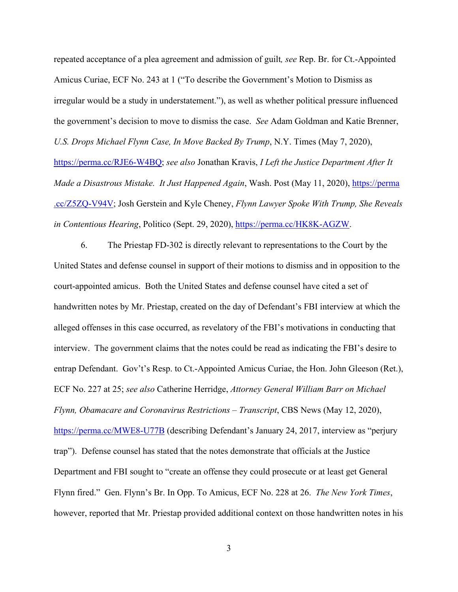repeated acceptance of a plea agreement and admission of guilt*, see* Rep. Br. for Ct.-Appointed Amicus Curiae, ECF No. 243 at 1 ("To describe the Government's Motion to Dismiss as irregular would be a study in understatement."), as well as whether political pressure influenced the government's decision to move to dismiss the case. *See* Adam Goldman and Katie Brenner, *U.S. Drops Michael Flynn Case, In Move Backed By Trump*, N.Y. Times (May 7, 2020), [https://perma.cc/RJE6-W4BQ;](https://perma.cc/RJE6-W4BQ) *see also* Jonathan Kravis, *I Left the Justice Department After It Made a Disastrous Mistake. It Just Happened Again*, Wash. Post (May 11, 2020), [https://perma](https://perma.cc/Z5ZQ-V94V) [.cc/Z5ZQ-V94V;](https://perma.cc/Z5ZQ-V94V) Josh Gerstein and Kyle Cheney, *Flynn Lawyer Spoke With Trump, She Reveals*  in Contentious Hearing, Politico (Sept. 29, 2020), [https://perma.cc/HK8K-AGZW.](https://perma.cc/HK8K-AGZW)

6. The Priestap FD-302 is directly relevant to representations to the Court by the United States and defense counsel in support of their motions to dismiss and in opposition to the court-appointed amicus. Both the United States and defense counsel have cited a set of handwritten notes by Mr. Priestap, created on the day of Defendant's FBI interview at which the alleged offenses in this case occurred, as revelatory of the FBI's motivations in conducting that interview. The government claims that the notes could be read as indicating the FBI's desire to entrap Defendant. Gov't's Resp. to Ct.-Appointed Amicus Curiae, the Hon. John Gleeson (Ret.), ECF No. 227 at 25; *see also* Catherine Herridge, *Attorney General William Barr on Michael Flynn, Obamacare and Coronavirus Restrictions – Transcript*, CBS News (May 12, 2020), <https://perma.cc/MWE8-U77B>(describing Defendant's January 24, 2017, interview as "perjury trap"). Defense counsel has stated that the notes demonstrate that officials at the Justice Department and FBI sought to "create an offense they could prosecute or at least get General Flynn fired." Gen. Flynn's Br. In Opp. To Amicus, ECF No. 228 at 26. *The New York Times*, however, reported that Mr. Priestap provided additional context on those handwritten notes in his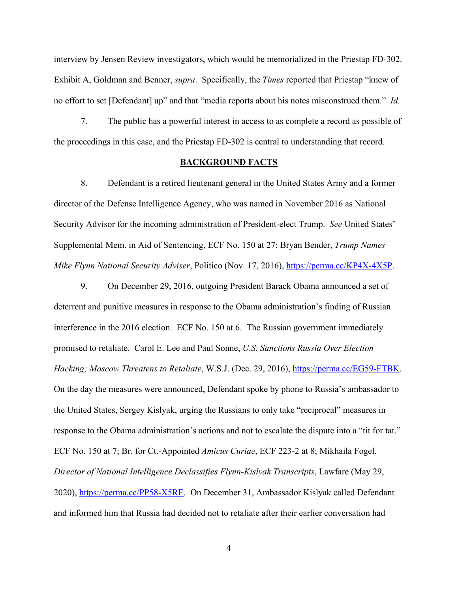interview by Jensen Review investigators, which would be memorialized in the Priestap FD-302. Exhibit A, Goldman and Benner, *supra*. Specifically, the *Times* reported that Priestap "knew of no effort to set [Defendant] up" and that "media reports about his notes misconstrued them." *Id.*

7. The public has a powerful interest in access to as complete a record as possible of the proceedings in this case, and the Priestap FD-302 is central to understanding that record.

### **BACKGROUND FACTS**

8. Defendant is a retired lieutenant general in the United States Army and a former director of the Defense Intelligence Agency, who was named in November 2016 as National Security Advisor for the incoming administration of President-elect Trump. *See* United States' Supplemental Mem. in Aid of Sentencing, ECF No. 150 at 27; Bryan Bender, *Trump Names Mike Flynn National Security Adviser*, Politico (Nov. 17, 2016), [https://perma.cc/KP4X-4X5P.](https://perma.cc/KP4X-4X5P)

9. On December 29, 2016, outgoing President Barack Obama announced a set of deterrent and punitive measures in response to the Obama administration's finding of Russian interference in the 2016 election. ECF No. 150 at 6. The Russian government immediately promised to retaliate. Carol E. Lee and Paul Sonne, *U.S. Sanctions Russia Over Election Hacking; Moscow Threatens to Retaliate*, W.S.J. (Dec. 29, 2016), [https://perma.cc/EG59-FTBK.](https://perma.cc/EG59-FTBK) On the day the measures were announced, Defendant spoke by phone to Russia's ambassador to the United States, Sergey Kislyak, urging the Russians to only take "reciprocal" measures in response to the Obama administration's actions and not to escalate the dispute into a "tit for tat." ECF No. 150 at 7; Br. for Ct.-Appointed *Amicus Curiae*, ECF 223-2 at 8; Mikhaila Fogel, *Director of National Intelligence Declassifies Flynn-Kislyak Transcripts*, Lawfare (May 29, 2020), [https://perma.cc/PP58-X5RE.](https://perma.cc/PP58-X5RE) On December 31, Ambassador Kislyak called Defendant and informed him that Russia had decided not to retaliate after their earlier conversation had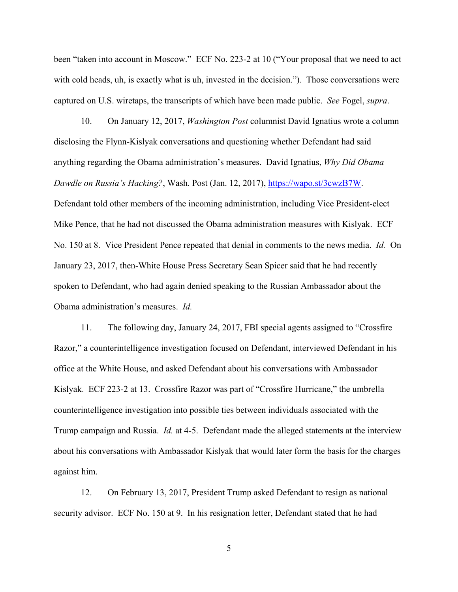been "taken into account in Moscow." ECF No. 223-2 at 10 ("Your proposal that we need to act with cold heads, uh, is exactly what is uh, invested in the decision."). Those conversations were captured on U.S. wiretaps, the transcripts of which have been made public. *See* Fogel, *supra*.

10. On January 12, 2017, *Washington Post* columnist David Ignatius wrote a column disclosing the Flynn-Kislyak conversations and questioning whether Defendant had said anything regarding the Obama administration's measures. David Ignatius, *Why Did Obama Dawdle on Russia's Hacking?*, Wash. Post (Jan. 12, 2017), [https://wapo.st/3cwzB7W.](https://wapo.st/3cwzB7W) Defendant told other members of the incoming administration, including Vice President-elect Mike Pence, that he had not discussed the Obama administration measures with Kislyak. ECF No. 150 at 8. Vice President Pence repeated that denial in comments to the news media. *Id.* On January 23, 2017, then-White House Press Secretary Sean Spicer said that he had recently spoken to Defendant, who had again denied speaking to the Russian Ambassador about the Obama administration's measures. *Id.*

11. The following day, January 24, 2017, FBI special agents assigned to "Crossfire Razor," a counterintelligence investigation focused on Defendant, interviewed Defendant in his office at the White House, and asked Defendant about his conversations with Ambassador Kislyak. ECF 223-2 at 13. Crossfire Razor was part of "Crossfire Hurricane," the umbrella counterintelligence investigation into possible ties between individuals associated with the Trump campaign and Russia. *Id.* at 4-5. Defendant made the alleged statements at the interview about his conversations with Ambassador Kislyak that would later form the basis for the charges against him.

12. On February 13, 2017, President Trump asked Defendant to resign as national security advisor. ECF No. 150 at 9. In his resignation letter, Defendant stated that he had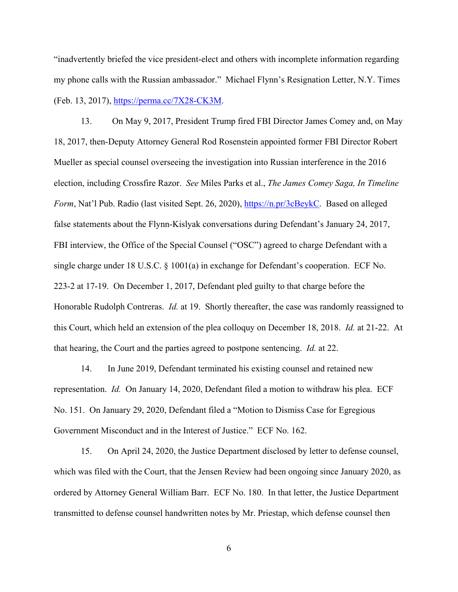"inadvertently briefed the vice president-elect and others with incomplete information regarding my phone calls with the Russian ambassador." Michael Flynn's Resignation Letter, N.Y. Times (Feb. 13, 2017), [https://perma.cc/7X28-CK3M.](https://perma.cc/7X28-CK3M)

13. On May 9, 2017, President Trump fired FBI Director James Comey and, on May 18, 2017, then-Deputy Attorney General Rod Rosenstein appointed former FBI Director Robert Mueller as special counsel overseeing the investigation into Russian interference in the 2016 election, including Crossfire Razor. *See* Miles Parks et al., *The James Comey Saga, In Timeline Form*, Nat'l Pub. Radio (last visited Sept. 26, 2020), [https://n.pr/3cBeykC.](https://n.pr/3cBeykC) Based on alleged false statements about the Flynn-Kislyak conversations during Defendant's January 24, 2017, FBI interview, the Office of the Special Counsel ("OSC") agreed to charge Defendant with a single charge under 18 U.S.C. § 1001(a) in exchange for Defendant's cooperation. ECF No. 223-2 at 17-19. On December 1, 2017, Defendant pled guilty to that charge before the Honorable Rudolph Contreras. *Id.* at 19. Shortly thereafter, the case was randomly reassigned to this Court, which held an extension of the plea colloquy on December 18, 2018. *Id.* at 21-22. At that hearing, the Court and the parties agreed to postpone sentencing. *Id.* at 22.

14. In June 2019, Defendant terminated his existing counsel and retained new representation. *Id.* On January 14, 2020, Defendant filed a motion to withdraw his plea. ECF No. 151. On January 29, 2020, Defendant filed a "Motion to Dismiss Case for Egregious Government Misconduct and in the Interest of Justice." ECF No. 162.

15. On April 24, 2020, the Justice Department disclosed by letter to defense counsel, which was filed with the Court, that the Jensen Review had been ongoing since January 2020, as ordered by Attorney General William Barr. ECF No. 180. In that letter, the Justice Department transmitted to defense counsel handwritten notes by Mr. Priestap, which defense counsel then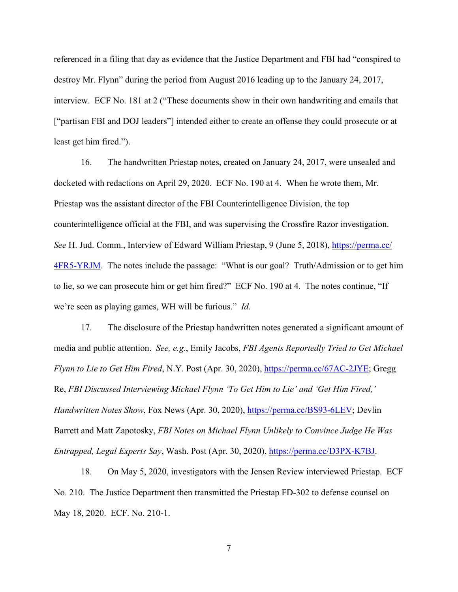referenced in a filing that day as evidence that the Justice Department and FBI had "conspired to destroy Mr. Flynn" during the period from August 2016 leading up to the January 24, 2017, interview. ECF No. 181 at 2 ("These documents show in their own handwriting and emails that ["partisan FBI and DOJ leaders"] intended either to create an offense they could prosecute or at least get him fired.").

16. The handwritten Priestap notes, created on January 24, 2017, were unsealed and docketed with redactions on April 29, 2020. ECF No. 190 at 4. When he wrote them, Mr. Priestap was the assistant director of the FBI Counterintelligence Division, the top counterintelligence official at the FBI, and was supervising the Crossfire Razor investigation. *See* H. Jud. Comm., Interview of Edward William Priestap, 9 (June 5, 2018), [https://perma.cc/](https://perma.cc/4FR5-YRJM)  [4FR5-YRJM.](https://perma.cc/4FR5-YRJM) The notes include the passage: "What is our goal? Truth/Admission or to get him to lie, so we can prosecute him or get him fired?" ECF No. 190 at 4. The notes continue, "If we're seen as playing games, WH will be furious." *Id.*

17. The disclosure of the Priestap handwritten notes generated a significant amount of media and public attention. *See, e.g.*, Emily Jacobs, *FBI Agents Reportedly Tried to Get Michael Flynn to Lie to Get Him Fired*, N.Y. Post (Apr. 30, 2020), [https://perma.cc/67AC-2JYE;](https://perma.cc/67AC-2JYE) Gregg Re, *FBI Discussed Interviewing Michael Flynn 'To Get Him to Lie' and 'Get Him Fired,' Handwritten Notes Show*, Fox News (Apr. 30, 2020), [https://perma.cc/BS93-6LEV;](https://perma.cc/BS93-6LEV) Devlin Barrett and Matt Zapotosky, *FBI Notes on Michael Flynn Unlikely to Convince Judge He Was Entrapped, Legal Experts Say*, Wash. Post (Apr. 30, 2020), [https://perma.cc/D3PX-K7BJ.](https://perma.cc/D3PX-K7BJ)

18. On May 5, 2020, investigators with the Jensen Review interviewed Priestap. ECF No. 210. The Justice Department then transmitted the Priestap FD-302 to defense counsel on May 18, 2020. ECF. No. 210-1.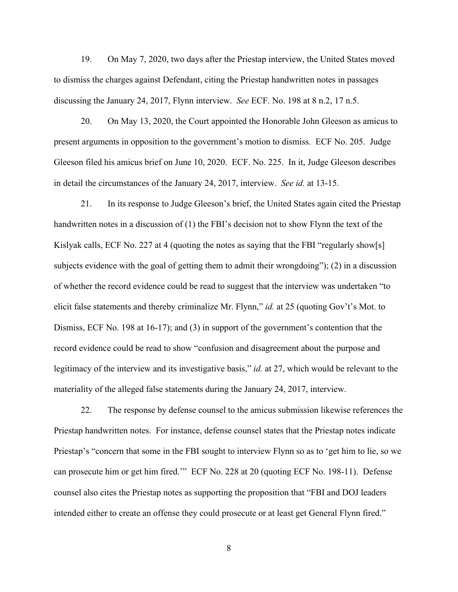19. On May 7, 2020, two days after the Priestap interview, the United States moved to dismiss the charges against Defendant, citing the Priestap handwritten notes in passages discussing the January 24, 2017, Flynn interview. *See* ECF. No. 198 at 8 n.2, 17 n.5.

20. On May 13, 2020, the Court appointed the Honorable John Gleeson as amicus to present arguments in opposition to the government's motion to dismiss. ECF No. 205. Judge Gleeson filed his amicus brief on June 10, 2020. ECF. No. 225. In it, Judge Gleeson describes in detail the circumstances of the January 24, 2017, interview. *See id.* at 13-15.

21. In its response to Judge Gleeson's brief, the United States again cited the Priestap handwritten notes in a discussion of (1) the FBI's decision not to show Flynn the text of the Kislyak calls, ECF No. 227 at 4 (quoting the notes as saying that the FBI "regularly show[s] subjects evidence with the goal of getting them to admit their wrongdoing"); (2) in a discussion of whether the record evidence could be read to suggest that the interview was undertaken "to elicit false statements and thereby criminalize Mr. Flynn," *id.* at 25 (quoting Gov't's Mot. to Dismiss, ECF No. 198 at 16-17); and (3) in support of the government's contention that the record evidence could be read to show "confusion and disagreement about the purpose and legitimacy of the interview and its investigative basis," *id.* at 27, which would be relevant to the materiality of the alleged false statements during the January 24, 2017, interview.

22. The response by defense counsel to the amicus submission likewise references the Priestap handwritten notes. For instance, defense counsel states that the Priestap notes indicate Priestap's "concern that some in the FBI sought to interview Flynn so as to 'get him to lie, so we can prosecute him or get him fired.'" ECF No. 228 at 20 (quoting ECF No. 198-11). Defense counsel also cites the Priestap notes as supporting the proposition that "FBI and DOJ leaders intended either to create an offense they could prosecute or at least get General Flynn fired."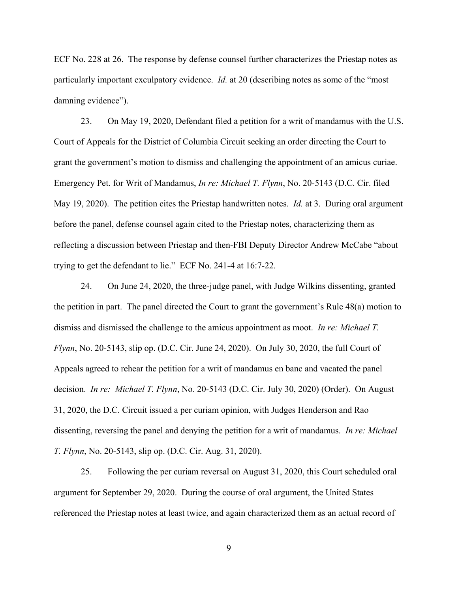ECF No. 228 at 26. The response by defense counsel further characterizes the Priestap notes as particularly important exculpatory evidence. *Id.* at 20 (describing notes as some of the "most damning evidence").

23. On May 19, 2020, Defendant filed a petition for a writ of mandamus with the U.S. Court of Appeals for the District of Columbia Circuit seeking an order directing the Court to grant the government's motion to dismiss and challenging the appointment of an amicus curiae. Emergency Pet. for Writ of Mandamus, *In re: Michael T. Flynn*, No. 20-5143 (D.C. Cir. filed May 19, 2020). The petition cites the Priestap handwritten notes. *Id.* at 3. During oral argument before the panel, defense counsel again cited to the Priestap notes, characterizing them as reflecting a discussion between Priestap and then-FBI Deputy Director Andrew McCabe "about trying to get the defendant to lie." ECF No. 241-4 at 16:7-22.

24. On June 24, 2020, the three-judge panel, with Judge Wilkins dissenting, granted the petition in part. The panel directed the Court to grant the government's Rule 48(a) motion to dismiss and dismissed the challenge to the amicus appointment as moot. *In re: Michael T. Flynn*, No. 20-5143, slip op. (D.C. Cir. June 24, 2020). On July 30, 2020, the full Court of Appeals agreed to rehear the petition for a writ of mandamus en banc and vacated the panel decision. *In re: Michael T. Flynn*, No. 20-5143 (D.C. Cir. July 30, 2020) (Order). On August 31, 2020, the D.C. Circuit issued a per curiam opinion, with Judges Henderson and Rao dissenting, reversing the panel and denying the petition for a writ of mandamus. *In re: Michael T. Flynn*, No. 20-5143, slip op. (D.C. Cir. Aug. 31, 2020).

25. Following the per curiam reversal on August 31, 2020, this Court scheduled oral argument for September 29, 2020. During the course of oral argument, the United States referenced the Priestap notes at least twice, and again characterized them as an actual record of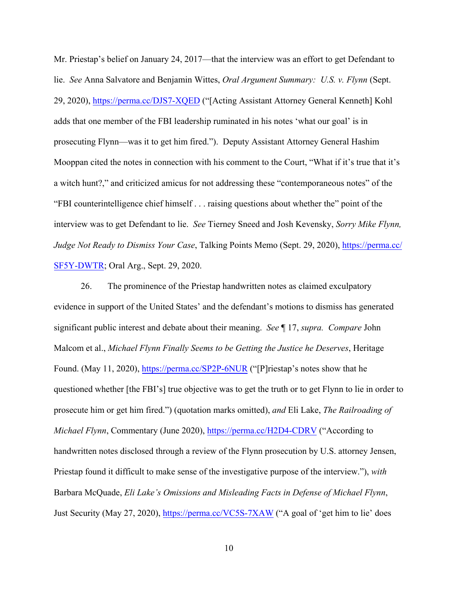Mr. Priestap's belief on January 24, 2017—that the interview was an effort to get Defendant to lie. *See* Anna Salvatore and Benjamin Wittes, *Oral Argument Summary: U.S. v. Flynn* (Sept. 29, 2020),<https://perma.cc/DJS7-XQED>("[Acting Assistant Attorney General Kenneth] Kohl adds that one member of the FBI leadership ruminated in his notes 'what our goal' is in prosecuting Flynn—was it to get him fired."). Deputy Assistant Attorney General Hashim Mooppan cited the notes in connection with his comment to the Court, "What if it's true that it's a witch hunt?," and criticized amicus for not addressing these "contemporaneous notes" of the "FBI counterintelligence chief himself . . . raising questions about whether the" point of the interview was to get Defendant to lie. *See* Tierney Sneed and Josh Kevensky, *Sorry Mike Flynn, Judge Not Ready to Dismiss Your Case*, Talking Points Memo (Sept. 29, 2020), [https://perma.cc/](https://perma.cc/SF5Y-DWTR) [SF5Y-DWTR;](https://perma.cc/SF5Y-DWTR) Oral Arg., Sept. 29, 2020.

26. The prominence of the Priestap handwritten notes as claimed exculpatory evidence in support of the United States' and the defendant's motions to dismiss has generated significant public interest and debate about their meaning. *See* ¶ 17, *supra. Compare* John Malcom et al., *Michael Flynn Finally Seems to be Getting the Justice he Deserves*, Heritage Found. (May 11, 2020),<https://perma.cc/SP2P-6NUR>("[P]riestap's notes show that he questioned whether [the FBI's] true objective was to get the truth or to get Flynn to lie in order to prosecute him or get him fired.") (quotation marks omitted), *and* Eli Lake, *The Railroading of Michael Flynn*, Commentary (June 2020),<https://perma.cc/H2D4-CDRV> ("According to handwritten notes disclosed through a review of the Flynn prosecution by U.S. attorney Jensen, Priestap found it difficult to make sense of the investigative purpose of the interview."), *with* Barbara McQuade, *Eli Lake's Omissions and Misleading Facts in Defense of Michael Flynn*, Just Security (May 27, 2020),<https://perma.cc/VC5S-7XAW> ("A goal of 'get him to lie' does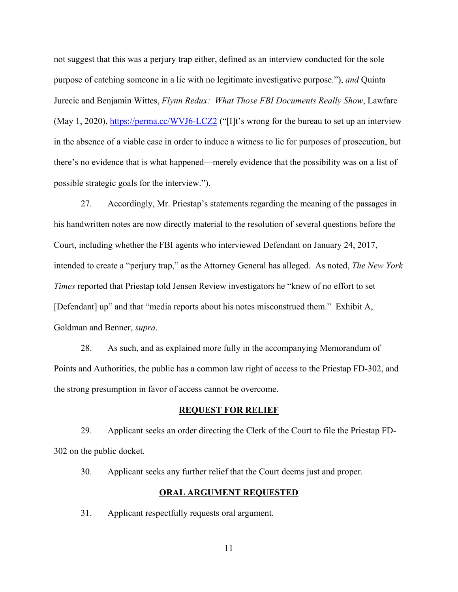not suggest that this was a perjury trap either, defined as an interview conducted for the sole purpose of catching someone in a lie with no legitimate investigative purpose."), *and* Quinta Jurecic and Benjamin Wittes, *Flynn Redux: What Those FBI Documents Really Show*, Lawfare (May 1, 2020),<https://perma.cc/WVJ6-LCZ2> ("I]t's wrong for the bureau to set up an interview in the absence of a viable case in order to induce a witness to lie for purposes of prosecution, but there's no evidence that is what happened—merely evidence that the possibility was on a list of possible strategic goals for the interview.").

27. Accordingly, Mr. Priestap's statements regarding the meaning of the passages in his handwritten notes are now directly material to the resolution of several questions before the Court, including whether the FBI agents who interviewed Defendant on January 24, 2017, intended to create a "perjury trap," as the Attorney General has alleged. As noted, *The New York Times* reported that Priestap told Jensen Review investigators he "knew of no effort to set [Defendant] up" and that "media reports about his notes misconstrued them." Exhibit A, Goldman and Benner, *supra*.

28. As such, and as explained more fully in the accompanying Memorandum of Points and Authorities, the public has a common law right of access to the Priestap FD-302, and the strong presumption in favor of access cannot be overcome.

#### **REQUEST FOR RELIEF**

29. Applicant seeks an order directing the Clerk of the Court to file the Priestap FD-302 on the public docket.

30. Applicant seeks any further relief that the Court deems just and proper.

#### **ORAL ARGUMENT REQUESTED**

31. Applicant respectfully requests oral argument.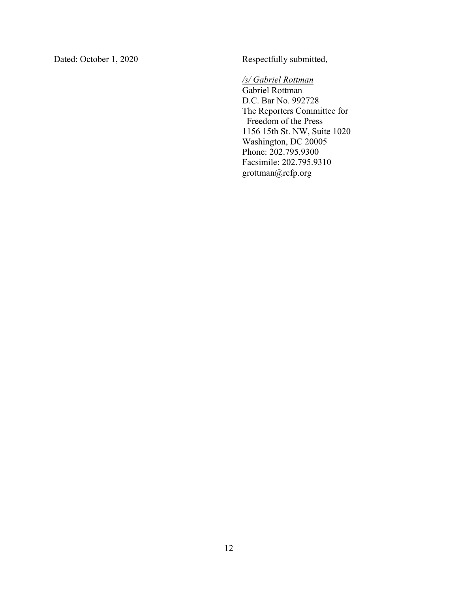Dated: October 1, 2020 Respectfully submitted,

# */s/ Gabriel Rottman*

Gabriel Rottman D.C. Bar No. 992728 The Reporters Committee for Freedom of the Press 1156 15th St. NW, Suite 1020 Washington, DC 20005 Phone: 202.795.9300 Facsimile: 202.795.9310 grottman@rcfp.org